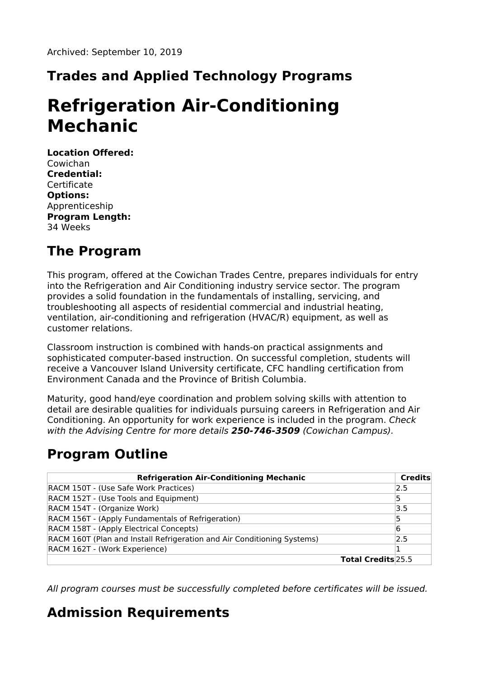## **Trades and Applied Technology Programs**

# **Refrigeration Air-Conditioning Mechanic**

**Location Offered:** Cowichan **Credential: Certificate Options:** Apprenticeship **Program Length:** 34 Weeks

#### **The Program**

This program, offered at the Cowichan Trades Centre, prepares individuals for entry into the Refrigeration and Air Conditioning industry service sector. The program provides a solid foundation in the fundamentals of installing, servicing, and troubleshooting all aspects of residential commercial and industrial heating, ventilation, air-conditioning and refrigeration (HVAC/R) equipment, as well as customer relations.

Classroom instruction is combined with hands-on practical assignments and sophisticated computer-based instruction. On successful completion, students will receive a Vancouver Island University certificate, CFC handling certification from Environment Canada and the Province of British Columbia.

Maturity, good hand/eye coordination and problem solving skills with attention to detail are desirable qualities for individuals pursuing careers in Refrigeration and Air Conditioning. An opportunity for work experience is included in the program. Check with the Advising Centre for more details **250-746-3509** (Cowichan Campus).

## **Program Outline**

| <b>Refrigeration Air-Conditioning Mechanic</b>                          |                           | <b>Credits</b> |
|-------------------------------------------------------------------------|---------------------------|----------------|
| RACM 150T - (Use Safe Work Practices)                                   |                           | 2.5            |
| RACM 152T - (Use Tools and Equipment)                                   |                           | 15             |
| RACM 154T - (Organize Work)                                             |                           | 3.5            |
| RACM 156T - (Apply Fundamentals of Refrigeration)                       |                           | 15             |
| RACM 158T - (Apply Electrical Concepts)                                 |                           | 6              |
| RACM 160T (Plan and Install Refrigeration and Air Conditioning Systems) |                           | 2.5            |
| RACM 162T - (Work Experience)                                           |                           |                |
|                                                                         | <b>Total Credits</b> 25.5 |                |

All program courses must be successfully completed before certificates will be issued.

## **Admission Requirements**